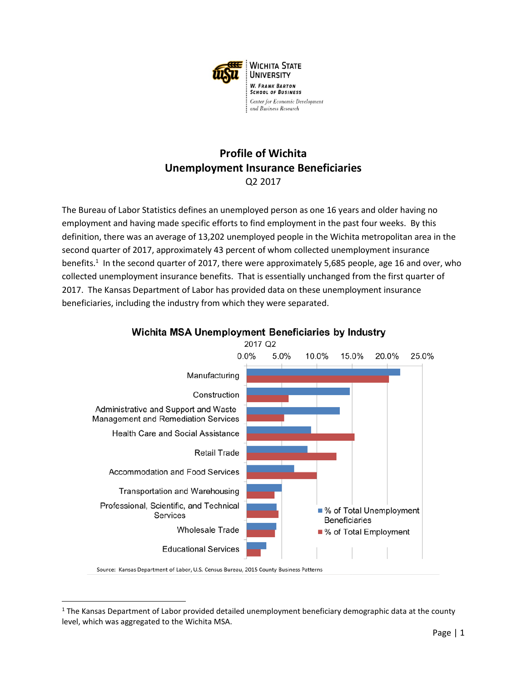

### **Profile of Wichita Unemployment Insurance Beneficiaries** Q2 2017

The Bureau of Labor Statistics defines an unemployed person as one 16 years and older having no employment and having made specific efforts to find employment in the past four weeks. By this definition, there was an average of 13,202 unemployed people in the Wichita metropolitan area in the second quarter of 2017, approximately 43 percent of whom collected unemployment insurance benefits.<sup>1</sup> In the second quarter of 2017, there were approximately 5,685 people, age 16 and over, who collected unemployment insurance benefits. That is essentially unchanged from the first quarter of 2017. The Kansas Department of Labor has provided data on these unemployment insurance beneficiaries, including the industry from which they were separated.



#### Wichita MSA Unemployment Beneficiaries by Industry

 $1$  The Kansas Department of Labor provided detailed unemployment beneficiary demographic data at the county level, which was aggregated to the Wichita MSA.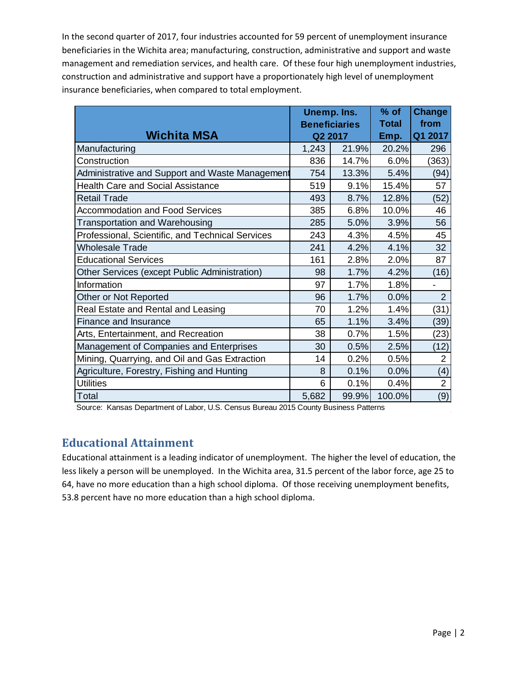In the second quarter of 2017, four industries accounted for 59 percent of unemployment insurance beneficiaries in the Wichita area; manufacturing, construction, administrative and support and waste management and remediation services, and health care. Of these four high unemployment industries, construction and administrative and support have a proportionately high level of unemployment insurance beneficiaries, when compared to total employment.

|                                                  |       | Unemp. Ins.<br><b>Beneficiaries</b> | $%$ of<br>Total | <b>Change</b><br>from |
|--------------------------------------------------|-------|-------------------------------------|-----------------|-----------------------|
| <b>Wichita MSA</b>                               |       | Q2 2017                             | Emp.            | Q1 2017               |
| Manufacturing                                    | 1,243 | 21.9%                               | 20.2%           | 296                   |
| Construction                                     | 836   | 14.7%                               | 6.0%            | (363)                 |
| Administrative and Support and Waste Management  | 754   | 13.3%                               | 5.4%            | (94)                  |
| <b>Health Care and Social Assistance</b>         | 519   | 9.1%                                | 15.4%           | 57                    |
| <b>Retail Trade</b>                              | 493   | 8.7%                                | 12.8%           | (52)                  |
| <b>Accommodation and Food Services</b>           | 385   | 6.8%                                | 10.0%           | 46                    |
| <b>Transportation and Warehousing</b>            | 285   | 5.0%                                | 3.9%            | 56                    |
| Professional, Scientific, and Technical Services | 243   | 4.3%                                | 4.5%            | 45                    |
| <b>Wholesale Trade</b>                           | 241   | 4.2%                                | 4.1%            | 32                    |
| <b>Educational Services</b>                      | 161   | 2.8%                                | 2.0%            | 87                    |
| Other Services (except Public Administration)    | 98    | 1.7%                                | 4.2%            | (16)                  |
| Information                                      | 97    | 1.7%                                | 1.8%            |                       |
| Other or Not Reported                            | 96    | 1.7%                                | 0.0%            | $\overline{2}$        |
| Real Estate and Rental and Leasing               | 70    | 1.2%                                | 1.4%            | (31)                  |
| Finance and Insurance                            | 65    | 1.1%                                | 3.4%            | (39)                  |
| Arts, Entertainment, and Recreation              | 38    | 0.7%                                | 1.5%            | (23)                  |
| Management of Companies and Enterprises          | 30    | 0.5%                                | 2.5%            | (12)                  |
| Mining, Quarrying, and Oil and Gas Extraction    | 14    | 0.2%                                | 0.5%            | $\overline{2}$        |
| Agriculture, Forestry, Fishing and Hunting       | 8     | 0.1%                                | 0.0%            | (4)                   |
| <b>Utilities</b>                                 | 6     | 0.1%                                | 0.4%            | $\overline{2}$        |
| Total                                            | 5,682 | 99.9%                               | 100.0%          | (9)                   |

Source: Kansas Department of Labor, U.S. Census Bureau 2015 County Business Patterns

## **Educational Attainment**

Educational attainment is a leading indicator of unemployment. The higher the level of education, the less likely a person will be unemployed. In the Wichita area, 31.5 percent of the labor force, age 25 to 64, have no more education than a high school diploma. Of those receiving unemployment benefits, 53.8 percent have no more education than a high school diploma.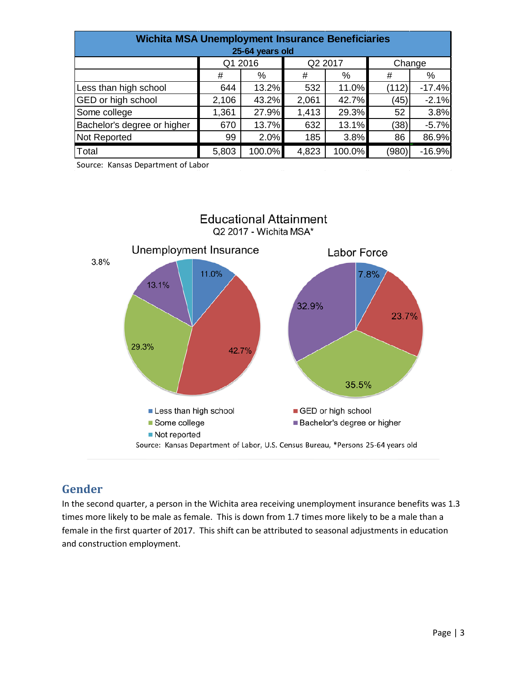| <b>Wichita MSA Unemployment Insurance Beneficiaries</b><br>25-64 years old |         |        |         |        |        |          |  |  |
|----------------------------------------------------------------------------|---------|--------|---------|--------|--------|----------|--|--|
|                                                                            | Q1 2016 |        | Q2 2017 |        | Change |          |  |  |
|                                                                            | #       | %      | #       | %      | #      | %        |  |  |
| Less than high school                                                      | 644     | 13.2%  | 532     | 11.0%  | (112)  | $-17.4%$ |  |  |
| GED or high school                                                         | 2,106   | 43.2%  | 2,061   | 42.7%  | (45)   | $-2.1%$  |  |  |
| Some college                                                               | 1,361   | 27.9%  | 1,413   | 29.3%  | 52     | 3.8%     |  |  |
| Bachelor's degree or higher                                                | 670     | 13.7%  | 632     | 13.1%  | (38)   | $-5.7%$  |  |  |
| Not Reported                                                               | 99      | 2.0%   | 185     | 3.8%   | 86     | 86.9%    |  |  |
| Total                                                                      | 5,803   | 100.0% | 4,823   | 100.0% | (980)  | $-16.9%$ |  |  |

Source: Kansas Department of Labor



### **Gender**

In the second quarter, a person in the Wichita area receiving unemployment insurance benefits was 1.3 times more likely to be male as female. This is down from 1.7 times more likely to be a male than a female in the first quarter of 2017. This shift can be attributed to seasonal adjustments in education and construction employment.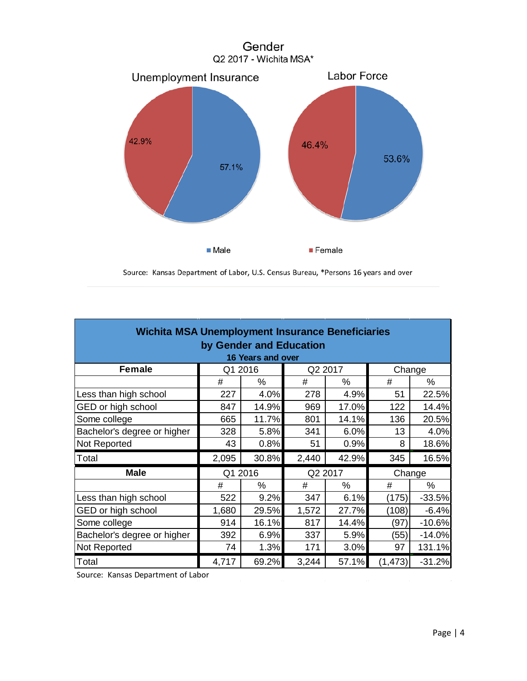

Source: Kansas Department of Labor, U.S. Census Bureau, \*Persons 16 years and over

| <b>Wichita MSA Unemployment Insurance Beneficiaries</b><br>by Gender and Education<br><b>16 Years and over</b> |         |       |         |       |          |          |  |  |  |
|----------------------------------------------------------------------------------------------------------------|---------|-------|---------|-------|----------|----------|--|--|--|
| <b>Female</b>                                                                                                  | Q1 2016 |       | Q2 2017 |       | Change   |          |  |  |  |
|                                                                                                                | #       | $\%$  | #       | %     | #        | %        |  |  |  |
| Less than high school                                                                                          | 227     | 4.0%  | 278     | 4.9%  | 51       | 22.5%    |  |  |  |
| GED or high school                                                                                             | 847     | 14.9% | 969     | 17.0% | 122      | 14.4%    |  |  |  |
| Some college                                                                                                   | 665     | 11.7% | 801     | 14.1% | 136      | 20.5%    |  |  |  |
| Bachelor's degree or higher                                                                                    | 328     | 5.8%  | 341     | 6.0%  | 13       | 4.0%     |  |  |  |
| Not Reported                                                                                                   | 43      | 0.8%  | 51      | 0.9%  | 8        | 18.6%    |  |  |  |
| Total                                                                                                          | 2,095   | 30.8% | 2,440   | 42.9% | 345      | 16.5%    |  |  |  |
| <b>Male</b>                                                                                                    | Q1 2016 |       | Q2 2017 |       | Change   |          |  |  |  |
|                                                                                                                | #       | %     | #       | %     | #        | %        |  |  |  |
| Less than high school                                                                                          | 522     | 9.2%  | 347     | 6.1%  | (175)    | $-33.5%$ |  |  |  |
| GED or high school                                                                                             | 1,680   | 29.5% | 1,572   | 27.7% | (108)    | $-6.4%$  |  |  |  |
| Some college                                                                                                   | 914     | 16.1% | 817     | 14.4% | (97)     | $-10.6%$ |  |  |  |
| Bachelor's degree or higher                                                                                    | 392     | 6.9%  | 337     | 5.9%  | (55)     | $-14.0%$ |  |  |  |
| Not Reported                                                                                                   | 74      | 1.3%  | 171     | 3.0%  | 97       | 131.1%   |  |  |  |
| Total                                                                                                          | 4,717   | 69.2% | 3,244   | 57.1% | (1, 473) | $-31.2%$ |  |  |  |

Source: Kansas Department of Labor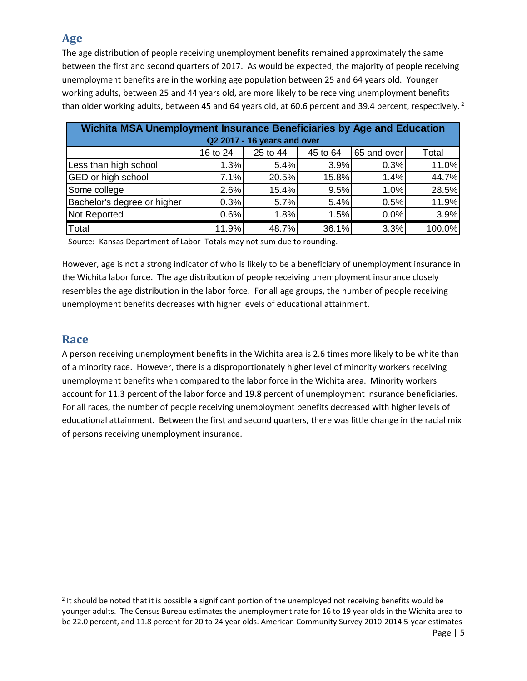# **Age**

The age distribution of people receiving unemployment benefits remained approximately the same between the first and second quarters of 2017. As would be expected, the majority of people receiving unemployment benefits are in the working age population between 25 and 64 years old. Younger working adults, between 25 and 44 years old, are more likely to be receiving unemployment benefits than older working adults, between 45 and 64 years old, at 60.6 percent and 39.4 percent, respectively.<sup>2</sup>

| Wichita MSA Unemployment Insurance Beneficiaries by Age and Education |          |          |          |             |        |  |  |  |
|-----------------------------------------------------------------------|----------|----------|----------|-------------|--------|--|--|--|
| Q2 2017 - 16 years and over                                           |          |          |          |             |        |  |  |  |
|                                                                       | 16 to 24 | 25 to 44 | 45 to 64 | 65 and over | Total  |  |  |  |
| Less than high school                                                 | 1.3%     | 5.4%     | 3.9%     | 0.3%        | 11.0%  |  |  |  |
| GED or high school                                                    | 7.1%     | 20.5%    | 15.8%    | 1.4%        | 44.7%  |  |  |  |
| Some college                                                          | 2.6%     | 15.4%    | 9.5%     | 1.0%        | 28.5%  |  |  |  |
| Bachelor's degree or higher                                           | 0.3%     | 5.7%     | 5.4%     | 0.5%        | 11.9%  |  |  |  |
| Not Reported                                                          | 0.6%     | 1.8%     | 1.5%     | 0.0%        | 3.9%   |  |  |  |
| Total                                                                 | 11.9%    | 48.7%    | 36.1%    | 3.3%        | 100.0% |  |  |  |

Source: Kansas Department of Labor Totals may not sum due to rounding.

However, age is not a strong indicator of who is likely to be a beneficiary of unemployment insurance in the Wichita labor force. The age distribution of people receiving unemployment insurance closely resembles the age distribution in the labor force. For all age groups, the number of people receiving unemployment benefits decreases with higher levels of educational attainment.

#### **Race**

A person receiving unemployment benefits in the Wichita area is 2.6 times more likely to be white than of a minority race. However, there is a disproportionately higher level of minority workers receiving unemployment benefits when compared to the labor force in the Wichita area. Minority workers account for 11.3 percent of the labor force and 19.8 percent of unemployment insurance beneficiaries. For all races, the number of people receiving unemployment benefits decreased with higher levels of educational attainment. Between the first and second quarters, there was little change in the racial mix of persons receiving unemployment insurance.

 $2$  It should be noted that it is possible a significant portion of the unemployed not receiving benefits would be younger adults. The Census Bureau estimates the unemployment rate for 16 to 19 year olds in the Wichita area to be 22.0 percent, and 11.8 percent for 20 to 24 year olds. American Community Survey 2010-2014 5-year estimates